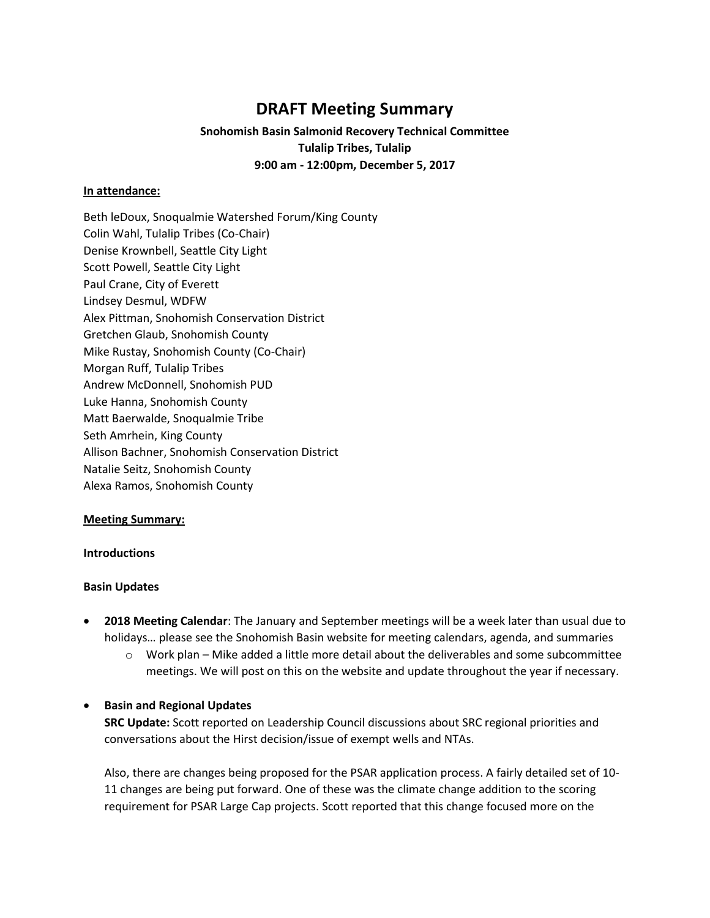# **DRAFT Meeting Summary**

# **Snohomish Basin Salmonid Recovery Technical Committee Tulalip Tribes, Tulalip 9:00 am - 12:00pm, December 5, 2017**

# **In attendance:**

Beth leDoux, Snoqualmie Watershed Forum/King County Colin Wahl, Tulalip Tribes (Co-Chair) Denise Krownbell, Seattle City Light Scott Powell, Seattle City Light Paul Crane, City of Everett Lindsey Desmul, WDFW Alex Pittman, Snohomish Conservation District Gretchen Glaub, Snohomish County Mike Rustay, Snohomish County (Co-Chair) Morgan Ruff, Tulalip Tribes Andrew McDonnell, Snohomish PUD Luke Hanna, Snohomish County Matt Baerwalde, Snoqualmie Tribe Seth Amrhein, King County Allison Bachner, Snohomish Conservation District Natalie Seitz, Snohomish County Alexa Ramos, Snohomish County

#### **Meeting Summary:**

#### **Introductions**

# **Basin Updates**

- **2018 Meeting Calendar**: The January and September meetings will be a week later than usual due to holidays… please see the Snohomish Basin website for meeting calendars, agenda, and summaries
	- $\circ$  Work plan Mike added a little more detail about the deliverables and some subcommittee meetings. We will post on this on the website and update throughout the year if necessary.

# **•** Basin and Regional Updates

**SRC Update:** Scott reported on Leadership Council discussions about SRC regional priorities and conversations about the Hirst decision/issue of exempt wells and NTAs.

Also, there are changes being proposed for the PSAR application process. A fairly detailed set of 10- 11 changes are being put forward. One of these was the climate change addition to the scoring requirement for PSAR Large Cap projects. Scott reported that this change focused more on the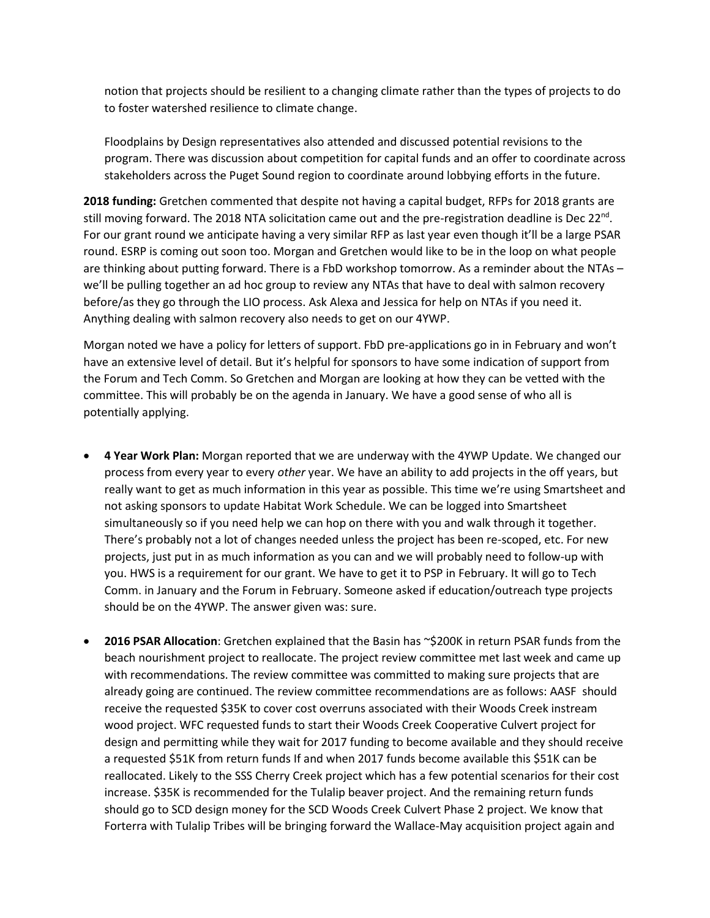notion that projects should be resilient to a changing climate rather than the types of projects to do to foster watershed resilience to climate change.

Floodplains by Design representatives also attended and discussed potential revisions to the program. There was discussion about competition for capital funds and an offer to coordinate across stakeholders across the Puget Sound region to coordinate around lobbying efforts in the future.

**2018 funding:** Gretchen commented that despite not having a capital budget, RFPs for 2018 grants are still moving forward. The 2018 NTA solicitation came out and the pre-registration deadline is Dec 22<sup>nd</sup>. For our grant round we anticipate having a very similar RFP as last year even though it'll be a large PSAR round. ESRP is coming out soon too. Morgan and Gretchen would like to be in the loop on what people are thinking about putting forward. There is a FbD workshop tomorrow. As a reminder about the NTAs – we'll be pulling together an ad hoc group to review any NTAs that have to deal with salmon recovery before/as they go through the LIO process. Ask Alexa and Jessica for help on NTAs if you need it. Anything dealing with salmon recovery also needs to get on our 4YWP.

Morgan noted we have a policy for letters of support. FbD pre-applications go in in February and won't have an extensive level of detail. But it's helpful for sponsors to have some indication of support from the Forum and Tech Comm. So Gretchen and Morgan are looking at how they can be vetted with the committee. This will probably be on the agenda in January. We have a good sense of who all is potentially applying.

- **4 Year Work Plan:** Morgan reported that we are underway with the 4YWP Update. We changed our process from every year to every *other* year. We have an ability to add projects in the off years, but really want to get as much information in this year as possible. This time we're using Smartsheet and not asking sponsors to update Habitat Work Schedule. We can be logged into Smartsheet simultaneously so if you need help we can hop on there with you and walk through it together. There's probably not a lot of changes needed unless the project has been re-scoped, etc. For new projects, just put in as much information as you can and we will probably need to follow-up with you. HWS is a requirement for our grant. We have to get it to PSP in February. It will go to Tech Comm. in January and the Forum in February. Someone asked if education/outreach type projects should be on the 4YWP. The answer given was: sure.
- **2016 PSAR Allocation**: Gretchen explained that the Basin has ~\$200K in return PSAR funds from the beach nourishment project to reallocate. The project review committee met last week and came up with recommendations. The review committee was committed to making sure projects that are already going are continued. The review committee recommendations are as follows: AASF should receive the requested \$35K to cover cost overruns associated with their Woods Creek instream wood project. WFC requested funds to start their Woods Creek Cooperative Culvert project for design and permitting while they wait for 2017 funding to become available and they should receive a requested \$51K from return funds If and when 2017 funds become available this \$51K can be reallocated. Likely to the SSS Cherry Creek project which has a few potential scenarios for their cost increase. \$35K is recommended for the Tulalip beaver project. And the remaining return funds should go to SCD design money for the SCD Woods Creek Culvert Phase 2 project. We know that Forterra with Tulalip Tribes will be bringing forward the Wallace-May acquisition project again and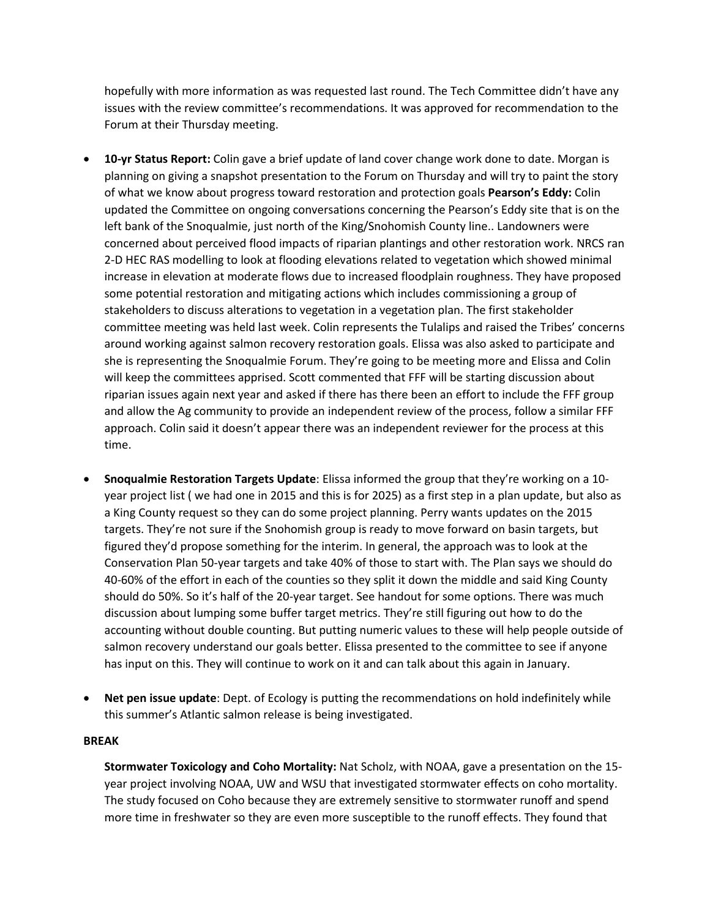hopefully with more information as was requested last round. The Tech Committee didn't have any issues with the review committee's recommendations. It was approved for recommendation to the Forum at their Thursday meeting.

- **10-yr Status Report:** Colin gave a brief update of land cover change work done to date. Morgan is planning on giving a snapshot presentation to the Forum on Thursday and will try to paint the story of what we know about progress toward restoration and protection goals **Pearson's Eddy:** Colin updated the Committee on ongoing conversations concerning the Pearson's Eddy site that is on the left bank of the Snoqualmie, just north of the King/Snohomish County line.. Landowners were concerned about perceived flood impacts of riparian plantings and other restoration work. NRCS ran 2-D HEC RAS modelling to look at flooding elevations related to vegetation which showed minimal increase in elevation at moderate flows due to increased floodplain roughness. They have proposed some potential restoration and mitigating actions which includes commissioning a group of stakeholders to discuss alterations to vegetation in a vegetation plan. The first stakeholder committee meeting was held last week. Colin represents the Tulalips and raised the Tribes' concerns around working against salmon recovery restoration goals. Elissa was also asked to participate and she is representing the Snoqualmie Forum. They're going to be meeting more and Elissa and Colin will keep the committees apprised. Scott commented that FFF will be starting discussion about riparian issues again next year and asked if there has there been an effort to include the FFF group and allow the Ag community to provide an independent review of the process, follow a similar FFF approach. Colin said it doesn't appear there was an independent reviewer for the process at this time.
- **Snoqualmie Restoration Targets Update**: Elissa informed the group that they're working on a 10 year project list ( we had one in 2015 and this is for 2025) as a first step in a plan update, but also as a King County request so they can do some project planning. Perry wants updates on the 2015 targets. They're not sure if the Snohomish group is ready to move forward on basin targets, but figured they'd propose something for the interim. In general, the approach was to look at the Conservation Plan 50-year targets and take 40% of those to start with. The Plan says we should do 40-60% of the effort in each of the counties so they split it down the middle and said King County should do 50%. So it's half of the 20-year target. See handout for some options. There was much discussion about lumping some buffer target metrics. They're still figuring out how to do the accounting without double counting. But putting numeric values to these will help people outside of salmon recovery understand our goals better. Elissa presented to the committee to see if anyone has input on this. They will continue to work on it and can talk about this again in January.
- **Net pen issue update**: Dept. of Ecology is putting the recommendations on hold indefinitely while this summer's Atlantic salmon release is being investigated.

#### **BREAK**

**Stormwater Toxicology and Coho Mortality:** Nat Scholz, with NOAA, gave a presentation on the 15 year project involving NOAA, UW and WSU that investigated stormwater effects on coho mortality. The study focused on Coho because they are extremely sensitive to stormwater runoff and spend more time in freshwater so they are even more susceptible to the runoff effects. They found that